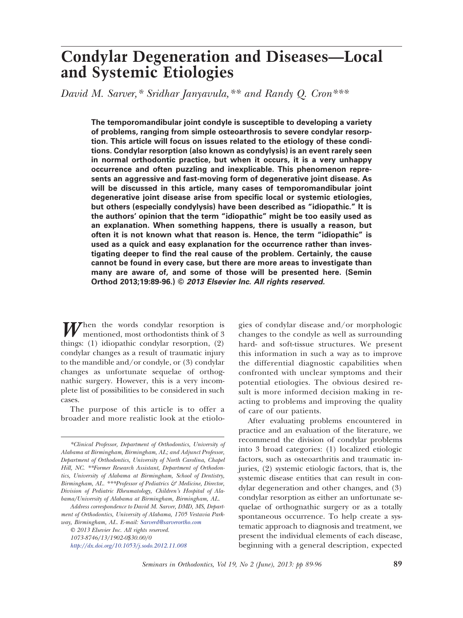# **Condylar Degeneration and Diseases—Local and Systemic Etiologies**

*David M. Sarver,\* Sridhar Janyavula,\*\* and Randy Q. Cron\*\*\**

**The temporomandibular joint condyle is susceptible to developing a variety of problems, ranging from simple osteoarthrosis to severe condylar resorption. This article will focus on issues related to the etiology of these conditions. Condylar resorption (also known as condylysis) is an event rarely seen in normal orthodontic practice, but when it occurs, it is a very unhappy occurrence and often puzzling and inexplicable. This phenomenon represents an aggressive and fast-moving form of degenerative joint disease. As will be discussed in this article, many cases of temporomandibular joint degenerative joint disease arise from specific local or systemic etiologies, but others (especially condylysis) have been described as "idiopathic." It is the authors' opinion that the term "idiopathic" might be too easily used as an explanation. When something happens, there is usually a reason, but often it is not known what that reason is. Hence, the term "idiopathic" is used as a quick and easy explanation for the occurrence rather than investigating deeper to find the real cause of the problem. Certainly, the cause cannot be found in every case, but there are more areas to investigate than many are aware of, and some of those will be presented here. (Semin Orthod 2013;19:89-96.) ©** *2013 Elsevier Inc. All rights reserved.*

When the words condylar resorption is mentioned, most orthodontists think of 3 things: (1) idiopathic condylar resorption, (2) condylar changes as a result of traumatic injury to the mandible and/or condyle, or (3) condylar changes as unfortunate sequelae of orthognathic surgery. However, this is a very incomplete list of possibilities to be considered in such cases.

The purpose of this article is to offer a broader and more realistic look at the etiolo-

*© 2013 Elsevier Inc. All rights reserved. 1073-8746/13/1902-0\$30.00/0 <http://dx.doi.org/10.1053/j.sodo.2012.11.008>*

gies of condylar disease and/or morphologic changes to the condyle as well as surrounding hard- and soft-tissue structures. We present this information in such a way as to improve the differential diagnostic capabilities when confronted with unclear symptoms and their potential etiologies. The obvious desired result is more informed decision making in reacting to problems and improving the quality of care of our patients.

After evaluating problems encountered in practice and an evaluation of the literature, we recommend the division of condylar problems into 3 broad categories: (1) localized etiologic factors, such as osteoarthritis and traumatic injuries, (2) systemic etiologic factors, that is, the systemic disease entities that can result in condylar degeneration and other changes, and (3) condylar resorption as either an unfortunate sequelae of orthognathic surgery or as a totally spontaneous occurrence. To help create a systematic approach to diagnosis and treatment, we present the individual elements of each disease, beginning with a general description, expected

*<sup>\*</sup>Clinical Professor, Department of Orthodontics, University of Alabama at Birmingham, Birmingham, AL; and Adjunct Professor, Department of Orthodontics, University of North Carolina, Chapel Hill, NC. \*\*Former Research Assistant, Department of Orthodontics, University of Alabama at Birmingham, School of Dentistry, Birmingham, AL. \*\*\*Professor of Pediatrics & Medicine, Director, Division of Pediatric Rheumatology, Children's Hospital of Alabama/University of Alabama at Birmingham, Birmingham, AL.*

*Address correspondence to David M. Sarver, DMD, MS, Department of Orthodontics, University of Alabama, 1705 Vestavia Parkway, Birmingham, AL. E-mail: [Sarverd@sarverortho.com](mailto:Sarverd@sarverortho.com)*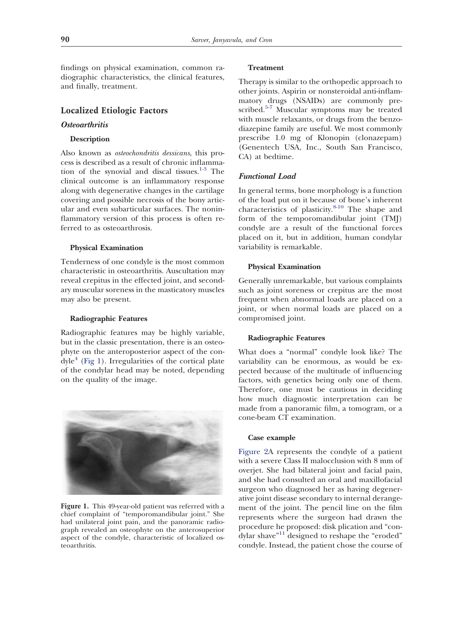findings on physical examination, common radiographic characteristics, the clinical features, and finally, treatment.

# **Localized Etiologic Factors**

## *Osteoarthritis*

## **Description**

Also known as *osteochondritis dessicans*, this process is described as a result of chronic inflamma-tion of the synovial and discal tissues.<sup>[1-3](#page-6-0)</sup> The clinical outcome is an inflammatory response along with degenerative changes in the cartilage covering and possible necrosis of the bony articular and even subarticular surfaces. The noninflammatory version of this process is often referred to as osteoarthrosis.

#### **Physical Examination**

Tenderness of one condyle is the most common characteristic in osteoarthritis. Auscultation may reveal crepitus in the effected joint, and secondary muscular soreness in the masticatory muscles may also be present.

#### **Radiographic Features**

Radiographic features may be highly variable, but in the classic presentation, there is an osteophyte on the anteroposterior aspect of the con- $dyle<sup>4</sup>$  $dyle<sup>4</sup>$  $dyle<sup>4</sup>$  [\(Fig 1\)](#page-1-0). Irregularities of the cortical plate of the condylar head may be noted, depending on the quality of the image.



<span id="page-1-0"></span>**Figure 1.** This 49-year-old patient was referred with a chief complaint of "temporomandibular joint." She had unilateral joint pain, and the panoramic radiograph revealed an osteophyte on the anterosuperior aspect of the condyle, characteristic of localized osteoarthritis.

## **Treatment**

Therapy is similar to the orthopedic approach to other joints. Aspirin or nonsteroidal anti-inflammatory drugs (NSAIDs) are commonly pre-scribed.<sup>[5-7](#page-6-2)</sup> Muscular symptoms may be treated with muscle relaxants, or drugs from the benzodiazepine family are useful. We most commonly prescribe 1.0 mg of Klonopin (clonazepam) (Genentech USA, Inc., South San Francisco, CA) at bedtime.

# *Functional Load*

In general terms, bone morphology is a function of the load put on it because of bone's inherent characteristics of plasticity.[8-10](#page-6-3) The shape and form of the temporomandibular joint (TMJ) condyle are a result of the functional forces placed on it, but in addition, human condylar variability is remarkable.

#### **Physical Examination**

Generally unremarkable, but various complaints such as joint soreness or crepitus are the most frequent when abnormal loads are placed on a joint, or when normal loads are placed on a compromised joint.

## **Radiographic Features**

What does a "normal" condyle look like? The variability can be enormous, as would be expected because of the multitude of influencing factors, with genetics being only one of them. Therefore, one must be cautious in deciding how much diagnostic interpretation can be made from a panoramic film, a tomogram, or a cone-beam CT examination.

#### **Case example**

[Figure 2A](#page-2-0) represents the condyle of a patient with a severe Class II malocclusion with 8 mm of overjet. She had bilateral joint and facial pain, and she had consulted an oral and maxillofacial surgeon who diagnosed her as having degenerative joint disease secondary to internal derangement of the joint. The pencil line on the film represents where the surgeon had drawn the procedure he proposed: disk plication and "con-dylar shave"<sup>[11](#page-6-4)</sup> designed to reshape the "eroded" condyle. Instead, the patient chose the course of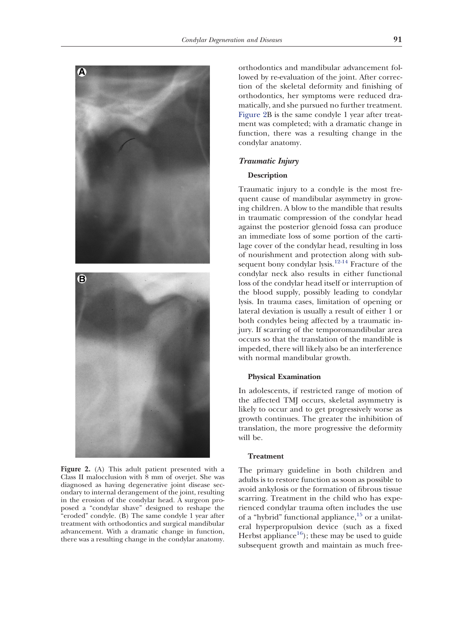

<span id="page-2-0"></span>**Figure 2.** (A) This adult patient presented with a Class II malocclusion with 8 mm of overjet. She was diagnosed as having degenerative joint disease secondary to internal derangement of the joint, resulting in the erosion of the condylar head. A surgeon proposed a "condylar shave" designed to reshape the "eroded" condyle. (B) The same condyle 1 year after treatment with orthodontics and surgical mandibular advancement. With a dramatic change in function, there was a resulting change in the condylar anatomy.

orthodontics and mandibular advancement followed by re-evaluation of the joint. After correction of the skeletal deformity and finishing of orthodontics, her symptoms were reduced dramatically, and she pursued no further treatment. [Figure 2B](#page-2-0) is the same condyle 1 year after treatment was completed; with a dramatic change in function, there was a resulting change in the condylar anatomy.

#### *Traumatic Injury*

## **Description**

Traumatic injury to a condyle is the most frequent cause of mandibular asymmetry in growing children. A blow to the mandible that results in traumatic compression of the condylar head against the posterior glenoid fossa can produce an immediate loss of some portion of the cartilage cover of the condylar head, resulting in loss of nourishment and protection along with sub-sequent bony condylar lysis.<sup>[12-14](#page-6-5)</sup> Fracture of the condylar neck also results in either functional loss of the condylar head itself or interruption of the blood supply, possibly leading to condylar lysis. In trauma cases, limitation of opening or lateral deviation is usually a result of either 1 or both condyles being affected by a traumatic injury. If scarring of the temporomandibular area occurs so that the translation of the mandible is impeded, there will likely also be an interference with normal mandibular growth.

## **Physical Examination**

In adolescents, if restricted range of motion of the affected TMJ occurs, skeletal asymmetry is likely to occur and to get progressively worse as growth continues. The greater the inhibition of translation, the more progressive the deformity will be.

## **Treatment**

The primary guideline in both children and adults is to restore function as soon as possible to avoid ankylosis or the formation of fibrous tissue scarring. Treatment in the child who has experienced condylar trauma often includes the use of a "hybrid" functional appliance, $15$  or a unilateral hyperpropulsion device (such as a fixed Herbst appliance<sup>16</sup>); these may be used to guide subsequent growth and maintain as much free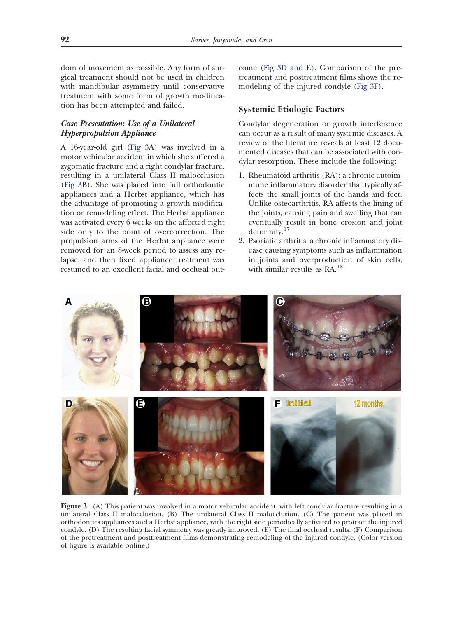dom of movement as possible. Any form of surgical treatment should not be used in children with mandibular asymmetry until conservative treatment with some form of growth modification has been attempted and failed.

# *Case Presentation: Use of a Unilateral Hyperpropulsion Appliance*

A 16-year-old girl [\(Fig 3A](#page-3-0)) was involved in a motor vehicular accident in which she suffered a zygomatic fracture and a right condylar fracture, resulting in a unilateral Class II malocclusion [\(Fig 3B](#page-3-0)). She was placed into full orthodontic appliances and a Herbst appliance, which has the advantage of promoting a growth modification or remodeling effect. The Herbst appliance was activated every 6 weeks on the affected right side only to the point of overcorrection. The propulsion arms of the Herbst appliance were removed for an 8-week period to assess any relapse, and then fixed appliance treatment was resumed to an excellent facial and occlusal outcome [\(Fig 3D and E\)](#page-3-0). Comparison of the pretreatment and posttreatment films shows the remodeling of the injured condyle [\(Fig 3F](#page-3-0)).

# **Systemic Etiologic Factors**

Condylar degeneration or growth interference can occur as a result of many systemic diseases. A review of the literature reveals at least 12 documented diseases that can be associated with condylar resorption. These include the following:

- 1. Rheumatoid arthritis (RA): a chronic autoimmune inflammatory disorder that typically affects the small joints of the hands and feet. Unlike osteoarthritis, RA affects the lining of the joints, causing pain and swelling that can eventually result in bone erosion and joint deformity.[17](#page-6-8)
- 2. Psoriatic arthritis: a chronic inflammatory disease causing symptoms such as inflammation in joints and overproduction of skin cells, with similar results as RA.<sup>[18](#page-6-9)</sup>



<span id="page-3-0"></span>**Figure 3.** (A) This patient was involved in a motor vehicular accident, with left condylar fracture resulting in a unilateral Class II malocclusion. (B) The unilateral Class II malocclusion. (C) The patient was placed in orthodontics appliances and a Herbst appliance, with the right side periodically activated to protract the injured condyle. (D) The resulting facial symmetry was greatly improved. (E) The final occlusal results. (F) Comparison of the pretreatment and posttreatment films demonstrating remodeling of the injured condyle. (Color version of figure is available online.)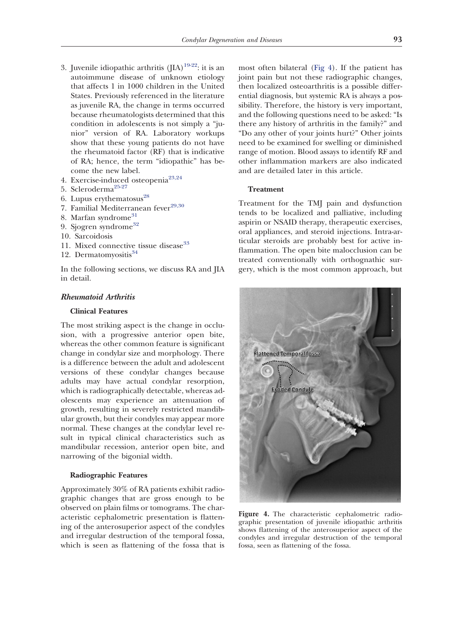- 3. Juvenile idiopathic arthritis  $(IIA)^{19-22}$ : it is an autoimmune disease of unknown etiology that affects 1 in 1000 children in the United States. Previously referenced in the literature as juvenile RA, the change in terms occurred because rheumatologists determined that this condition in adolescents is not simply a "junior" version of RA. Laboratory workups show that these young patients do not have the rheumatoid factor (RF) that is indicative of RA; hence, the term "idiopathic" has become the new label.
- 4. Exercise-induced osteopenia[23,24](#page-6-11)
- 5. Scleroderma[25-27](#page-7-0)
- 6. Lupus erythematosus $^{28}$  $^{28}$  $^{28}$
- 7. Familial Mediterranean fever $^{29,30}$  $^{29,30}$  $^{29,30}$
- 8. Marfan syndrome<sup>[31](#page-7-3)</sup>
- 9. Sjogren syndrome<sup>[32](#page-7-4)</sup>
- 10. Sarcoidosis
- 11. Mixed connective tissue disease<sup>[33](#page-7-5)</sup>
- 12. Dermatomyositis<sup>[34](#page-7-6)</sup>

In the following sections, we discuss RA and JIA in detail.

# *Rheumatoid Arthritis*

# **Clinical Features**

The most striking aspect is the change in occlusion, with a progressive anterior open bite, whereas the other common feature is significant change in condylar size and morphology. There is a difference between the adult and adolescent versions of these condylar changes because adults may have actual condylar resorption, which is radiographically detectable, whereas adolescents may experience an attenuation of growth, resulting in severely restricted mandibular growth, but their condyles may appear more normal. These changes at the condylar level result in typical clinical characteristics such as mandibular recession, anterior open bite, and narrowing of the bigonial width.

#### **Radiographic Features**

Approximately 30% of RA patients exhibit radiographic changes that are gross enough to be observed on plain films or tomograms. The characteristic cephalometric presentation is flattening of the anterosuperior aspect of the condyles and irregular destruction of the temporal fossa, which is seen as flattening of the fossa that is

most often bilateral [\(Fig 4\)](#page-4-0). If the patient has joint pain but not these radiographic changes, then localized osteoarthritis is a possible differential diagnosis, but systemic RA is always a possibility. Therefore, the history is very important, and the following questions need to be asked: "Is there any history of arthritis in the family?" and "Do any other of your joints hurt?" Other joints need to be examined for swelling or diminished range of motion. Blood assays to identify RF and other inflammation markers are also indicated and are detailed later in this article.

#### **Treatment**

Treatment for the TMJ pain and dysfunction tends to be localized and palliative, including aspirin or NSAID therapy, therapeutic exercises, oral appliances, and steroid injections. Intra-articular steroids are probably best for active inflammation. The open bite malocclusion can be treated conventionally with orthognathic surgery, which is the most common approach, but



<span id="page-4-0"></span>**Figure 4.** The characteristic cephalometric radiographic presentation of juvenile idiopathic arthritis shows flattening of the anterosuperior aspect of the condyles and irregular destruction of the temporal fossa, seen as flattening of the fossa.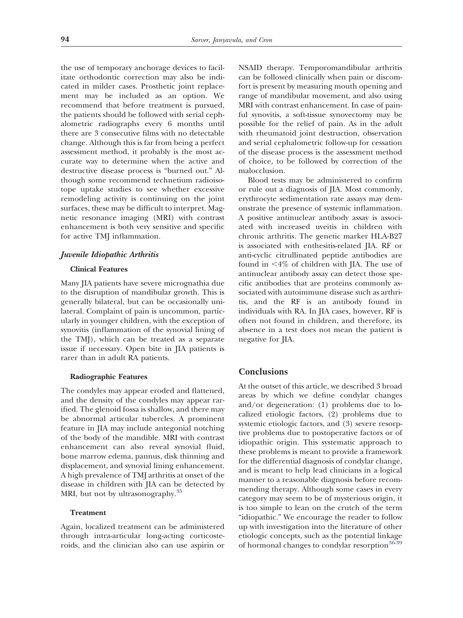the use of temporary anchorage devices to facilitate orthodontic correction may also be indicated in milder cases. Prosthetic joint replacement may be included as an option. We recommend that before treatment is pursued, the patients should be followed with serial cephalometric radiographs every 6 months until there are 3 consecutive films with no detectable change. Although this is far from being a perfect assessment method, it probably is the most accurate way to determine when the active and destructive disease process is "burned out." Although some recommend technetium radioisotope uptake studies to see whether excessive remodeling activity is continuing on the joint surfaces, these may be difficult to interpret. Magnetic resonance imaging (MRI) with contrast enhancement is both very sensitive and specific for active TMJ inflammation.

#### *Juvenile Idiopathic Arthritis*

#### **Clinical Features**

Many JIA patients have severe micrognathia due to the disruption of mandibular growth. This is generally bilateral, but can be occasionally unilateral. Complaint of pain is uncommon, particularly in younger children, with the exception of synovitis (inflammation of the synovial lining of the TMJ), which can be treated as a separate issue if necessary. Open bite in JIA patients is rarer than in adult RA patients.

## **Radiographic Features**

The condyles may appear eroded and flattened, and the density of the condyles may appear rarified. The glenoid fossa is shallow, and there may be abnormal articular tubercles. A prominent feature in JIA may include antegonial notching of the body of the mandible. MRI with contrast enhancement can also reveal synovial fluid, bone marrow edema, pannus, disk thinning and displacement, and synovial lining enhancement. A high prevalence of TMJ arthritis at onset of the disease in children with JIA can be detected by MRI, but not by ultrasonography.<sup>[35](#page-7-7)</sup>

#### **Treatment**

Again, localized treatment can be administered through intra-articular long-acting corticosteroids, and the clinician also can use aspirin or NSAID therapy. Temporomandibular arthritis can be followed clinically when pain or discomfort is present by measuring mouth opening and range of mandibular movement, and also using MRI with contrast enhancement. In case of painful synovitis, a soft-tissue synovectomy may be possible for the relief of pain. As in the adult with rheumatoid joint destruction, observation and serial cephalometric follow-up for cessation of the disease process is the assessment method of choice, to be followed by correction of the malocclusion.

Blood tests may be administered to confirm or rule out a diagnosis of JIA. Most commonly, erythrocyte sedimentation rate assays may demonstrate the presence of systemic inflammation. A positive antinuclear antibody assay is associated with increased uveitis in children with chronic arthritis. The genetic marker HLA-B27 is associated with enthesitis-related JIA. RF or anti-cyclic citrullinated peptide antibodies are found in  $\leq 4\%$  of children with JIA. The use of antinuclear antibody assay can detect those specific antibodies that are proteins commonly associated with autoimmune disease such as arthritis, and the RF is an antibody found in individuals with RA. In JIA cases, however, RF is often not found in children, and therefore, its absence in a test does not mean the patient is negative for JIA.

# **Conclusions**

At the outset of this article, we described 3 broad areas by which we define condylar changes and/or degeneration: (1) problems due to localized etiologic factors, (2) problems due to systemic etiologic factors, and (3) severe resorptive problems due to postoperative factors or of idiopathic origin. This systematic approach to these problems is meant to provide a framework for the differential diagnosis of condylar change, and is meant to help lead clinicians in a logical manner to a reasonable diagnosis before recommending therapy. Although some cases in every category may seem to be of mysterious origin, it is too simple to lean on the crutch of the term "idiopathic." We encourage the reader to follow up with investigation into the literature of other etiologic concepts, such as the potential linkage of hormonal changes to condylar resorption<sup>[36-39](#page-7-8)</sup>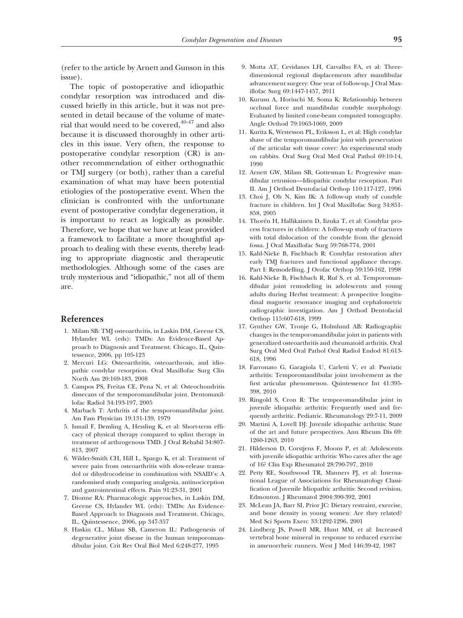(refer to the article by Arnett and Gunson in this issue).

The topic of postoperative and idiopathic condylar resorption was introduced and discussed briefly in this article, but it was not presented in detail because of the volume of material that would need to be covered,  $40-47$  and also because it is discussed thoroughly in other articles in this issue. Very often, the response to postoperative condylar resorption (CR) is another recommendation of either orthognathic or TMJ surgery (or both), rather than a careful examination of what may have been potential etiologies of the postoperative event. When the clinician is confronted with the unfortunate event of postoperative condylar degeneration, it is important to react as logically as possible. Therefore, we hope that we have at least provided a framework to facilitate a more thoughtful approach to dealing with these events, thereby leading to appropriate diagnostic and therapeutic methodologies. Although some of the cases are truly mysterious and "idiopathic," not all of them are.

# <span id="page-6-0"></span>**References**

- 1. Milam SB: TMJ osteoarthritis, in Laskin DM, Greene CS, Hylander WL (eds): TMDs: An Evidence-Based Approach to Diagnosis and Treatment. Chicago, IL, Quintessence, 2006, pp 105-123
- 2. Mercuri LG: Osteoarthritis, osteoarthrosis, and idiopathic condylar resorption. Oral Maxillofac Surg Clin North Am 20:169-183, 2008
- 3. Campos PS, Freitas CE, Pena N, et al: Osteochondritis dissecans of the temporomandibular joint. Dentomaxillofac Radiol 34:193-197, 2005
- <span id="page-6-2"></span><span id="page-6-1"></span>4. Marbach T: Arthritis of the temporomandibular joint. Am Fam Physician 19:131-139, 1979
- 5. Ismail F, Demling A, Hessling K, et al: Short-term efficacy of physical therapy compared to splint therapy in treatment of arthrogenous TMD. J Oral Rehabil 34:807- 813, 2007
- 6. Wilder-Smith CH, Hill L, Spargo K, et al: Treatment of severe pain from osteoarthritis with slow-release tramadol or dihydrocodeine in combination with NSAID's: A randomised study comparing analgesia, antinociception and gastrointestinal effects. Pain 91:23-31, 2001
- 7. Dionne RA: Pharmacologic approaches, in Laskin DM, Greene CS, Hylander WL (eds): TMDs: An Evidence-Based Approach to Diagnosis and Treatment. Chicago, IL, Quintessence, 2006, pp 347-357
- <span id="page-6-3"></span>8. Haskin CL, Milam SB, Cameron IL: Pathogenesis of degenerative joint disease in the human temporomandibular joint. Crit Rev Oral Biol Med 6:248-277, 1995
- 9. Motta AT, Cevidanes LH, Carvalho FA, et al: Threedimensional regional displacements after mandibular advancement surgery: One year of follow-up. J Oral Maxillofac Surg 69:1447-1457, 2011
- 10. Kurusu A, Horiuchi M, Soma K: Relationship between occlusal force and mandibular condyle morphology. Evaluated by limited cone-beam computed tomography. Angle Orthod 79:1063-1069, 2009
- <span id="page-6-4"></span>11. Kurita K, Westesson PL, Eriksson L, et al: High condylar shave of the temporomandibular joint with preservation of the articular soft tissue cover: An experimental study on rabbits. Oral Surg Oral Med Oral Pathol 69:10-14, 1990
- <span id="page-6-5"></span>12. Arnett GW, Milam SB, Gottesman L: Progressive mandibular retrusion—Idiopathic condylar resorption. Part II. Am J Orthod Dentofacial Orthop 110:117-127, 1996
- 13. Choi J, Oh N, Kim IK: A follow-up study of condyle fracture in children. Int J Oral Maxillofac Surg 34:851- 858, 2005
- 14. Thorén H, Hallikainen D, Iizuka T, et al: Condylar process fractures in children: A follow-up study of fractures with total dislocation of the condyle from the glenoid fossa. J Oral Maxillofac Surg 59:768-774, 2001
- <span id="page-6-6"></span>15. Kahl-Nieke B, Fischbach R: Condylar restoration after early TMJ fractures and functional appliance therapy. Part I: Remodelling. J Orofac Orthop 59:150-162, 1998
- <span id="page-6-7"></span>16. Kahl-Nieke B, Fischbach R, Ruf S, et al. Temporomandibular joint remodeling in adolescents and young adults during Herbst treatment: A prospective longitudinal magnetic resonance imaging and cephalometric radiographic investigation. Am J Orthod Dentofacial Orthop 115:607-618, 1999
- <span id="page-6-8"></span>17. Gynther GW, Tronje G, Holmlund AB: Radiographic changes in the temporomandibular joint in patients with generalized osteoarthritis and rheumatoid arthritis. Oral Surg Oral Med Oral Pathol Oral Radiol Endod 81:613- 618, 1996
- <span id="page-6-9"></span>18. Farronato G, Garagiola U, Carletti V, et al: Psoriatic arthritis: Temporomandibular joint involvement as the first articular phenomenon. Quintessence Int 41:395- 398, 2010
- <span id="page-6-10"></span>19. Ringold S, Cron R: The temporomandibular joint in juvenile idiopathic arthritis: Frequently used and frequently arthritic. Pediatric. Rheumatology 29:7-11, 2009
- 20. Martini A, Lovell DJ: Juvenile idiopathic arthritis: State of the art and future perspectives. Ann Rheum Dis 69: 1260-1263, 2010
- 21. Hilderson D, Corstjens F, Moons P, et al: Adolescents with juvenile idiopathic arthritis: Who cares after the age of 16? Clin Exp Rheumatol 28:790-797, 2010
- 22. Petty RE, Southwood TR, Manners PJ, et al: International League of Associations for Rheumatology Classification of Juvenile Idiopathic arthritis: Second revision, Edmonton. J Rheumatol 2004:390-392, 2001
- <span id="page-6-11"></span>23. McLean JA, Barr SI, Prior JC: Dietary restraint, exercise, and bone density in young women: Are they related? Med Sci Sports Exerc 33:1292-1296, 2001
- 24. Lindberg JS, Powell MR, Hunt MM, et al: Increased vertebral bone mineral in response to reduced exercise in amenorrheic runners. West J Med 146:39-42, 1987